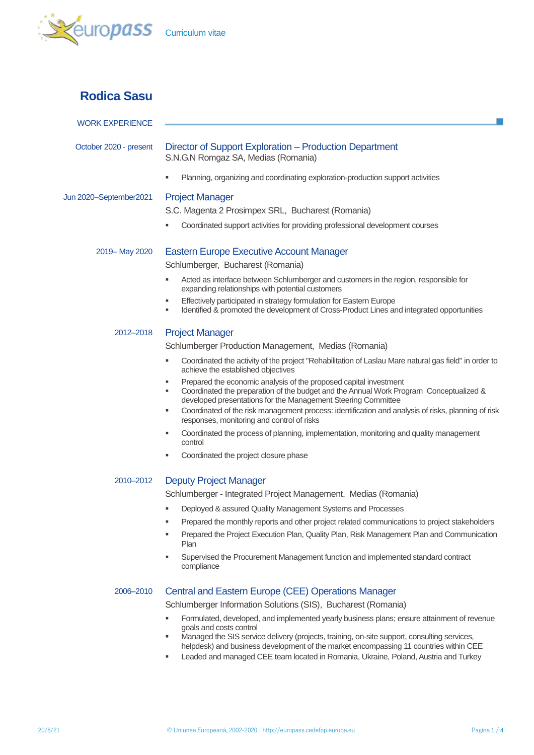

# **Rodica Sasu**

| <b>WORK EXPERIENCE</b> |                                                                                                                                                                                                                                                                                                                                                                                                                                                                                                                                                                                                                                                                                                                                                                                               |  |  |  |
|------------------------|-----------------------------------------------------------------------------------------------------------------------------------------------------------------------------------------------------------------------------------------------------------------------------------------------------------------------------------------------------------------------------------------------------------------------------------------------------------------------------------------------------------------------------------------------------------------------------------------------------------------------------------------------------------------------------------------------------------------------------------------------------------------------------------------------|--|--|--|
| October 2020 - present | Director of Support Exploration – Production Department<br>S.N.G.N Romgaz SA, Medias (Romania)                                                                                                                                                                                                                                                                                                                                                                                                                                                                                                                                                                                                                                                                                                |  |  |  |
|                        | Planning, organizing and coordinating exploration-production support activities<br>٠                                                                                                                                                                                                                                                                                                                                                                                                                                                                                                                                                                                                                                                                                                          |  |  |  |
| Jun 2020-September2021 | <b>Project Manager</b><br>S.C. Magenta 2 Prosimpex SRL, Bucharest (Romania)<br>Coordinated support activities for providing professional development courses<br>٠                                                                                                                                                                                                                                                                                                                                                                                                                                                                                                                                                                                                                             |  |  |  |
| 2019 - May 2020        | <b>Eastern Europe Executive Account Manager</b><br>Schlumberger, Bucharest (Romania)                                                                                                                                                                                                                                                                                                                                                                                                                                                                                                                                                                                                                                                                                                          |  |  |  |
|                        | Acted as interface between Schlumberger and customers in the region, responsible for<br>٠<br>expanding relationships with potential customers<br>Effectively participated in strategy formulation for Eastern Europe<br>٠<br>Identified & promoted the development of Cross-Product Lines and integrated opportunities<br>٠                                                                                                                                                                                                                                                                                                                                                                                                                                                                   |  |  |  |
| 2012-2018              | <b>Project Manager</b><br>Schlumberger Production Management, Medias (Romania)<br>Coordinated the activity of the project "Rehabilitation of Laslau Mare natural gas field" in order to<br>٠<br>achieve the established objectives<br>Prepared the economic analysis of the proposed capital investment<br>٠<br>Coordinated the preparation of the budget and the Annual Work Program Conceptualized &<br>٠<br>developed presentations for the Management Steering Committee<br>Coordinated of the risk management process: identification and analysis of risks, planning of risk<br>٠<br>responses, monitoring and control of risks<br>Coordinated the process of planning, implementation, monitoring and quality management<br>٠<br>control<br>Coordinated the project closure phase<br>٠ |  |  |  |
| 2010-2012              | <b>Deputy Project Manager</b><br>Schlumberger - Integrated Project Management, Medias (Romania)<br>Deployed & assured Quality Management Systems and Processes<br>Prepared the monthly reports and other project related communications to project stakeholders<br>٠<br>Prepared the Project Execution Plan, Quality Plan, Risk Management Plan and Communication<br>Plan<br>Supervised the Procurement Management function and implemented standard contract<br>٠<br>compliance                                                                                                                                                                                                                                                                                                              |  |  |  |
| 2006-2010              | <b>Central and Eastern Europe (CEE) Operations Manager</b><br>Schlumberger Information Solutions (SIS), Bucharest (Romania)<br>Formulated, developed, and implemented yearly business plans; ensure attainment of revenue<br>٠<br>goals and costs control<br>Managed the SIS service delivery (projects, training, on-site support, consulting services,<br>٠<br>helpdesk) and business development of the market encompassing 11 countries within CEE<br>Leaded and managed CEE team located in Romania, Ukraine, Poland, Austria and Turkey<br>٠                                                                                                                                                                                                                                            |  |  |  |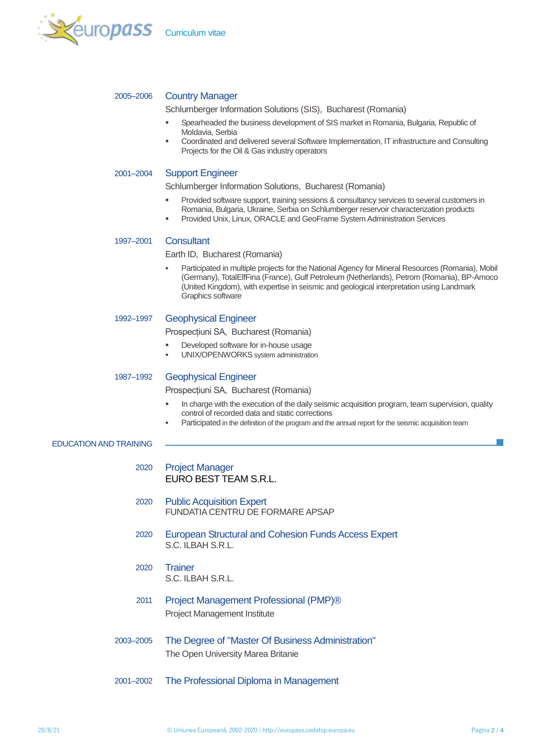

## 2005–2006 Country Manager

Schlumberger Information Solutions (SIS), Bucharest (Romania)

- Spearheaded the business development of SIS market in Romania, Bulgaria, Republic of Moldavia, Serbia
- **•** Coordinated and delivered several Software Implementation, IT infrastructure and Consulting Projects for the Oil & Gas industry operators

### 2001–2004 Support Engineer

Schlumberger Information Solutions, Bucharest (Romania)

- **Provided software support, training sessions & consultancy services to several customers in** Romania, Bulgaria, Ukraine, Serbia on Schlumberger reservoir characterization products
- Provided Unix, Linux, ORACLE and GeoFrame System Administration Services

## 1997–2001 Consultant

Earth ID, Bucharest (Romania)

 Participated in multiple projects for the National Agency for Mineral Resources (Romania), Mobil (Germany), TotalElfFina (France), Gulf Petroleum (Netherlands), Petrom (Romania), BP-Amoco (United Kingdom), with expertise in seismic and geological interpretation using Landmark Graphics software

## 1992–1997 Geophysical Engineer

Prospecțiuni SA, Bucharest (Romania)

- Developed software for in-house usage
- UNIX/OPENWORKS system administration

## 1987–1992 Geophysical Engineer

Prospecțiuni SA, Bucharest (Romania)

- In charge with the execution of the daily seismic acquisition program, team supervision, quality control of recorded data and static corrections
- Participated in the definition of the program and the annual report for the seismic acquisition team

## EDUCATION AND TRAINING

- 2020 Project Manager FURO BEST TEAM S.R.L.
- 2020 Public Acquisition Expert FUNDATIA CENTRU DE FORMARE APSAP
- 2020 European Structural and Cohesion Funds Access Expert S.C. ILBAH S.R.L.
- 2020 Trainer S.C. ILBAH S.R.L.
- 2011 Project Management Professional (PMP)® Project Management Institute
- 2003–2005 The Degree of "Master Of Business Administration" The Open University Marea Britanie
- 2001–2002 The Professional Diploma in Management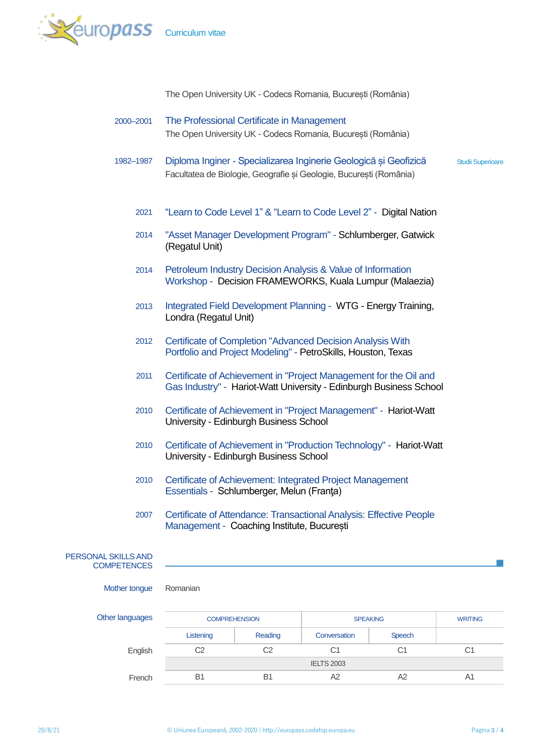

The Open University UK - Codecs Romania, București (România)

- 2000–2001 The Professional Certificate in Management The Open University UK - Codecs Romania, București (România)
- 1982–1987 Diploma Inginer Specializarea Inginerie Geologică și Geofizică Studii Superioare Facultatea de Biologie, Geografie și Geologie, București (România)
	- 2021 "Learn to Code Level 1" & "Learn to Code Level 2" Digital Nation
	- 2014 "Asset Manager Development Program" Schlumberger, Gatwick (Regatul Unit)
	- 2014 Petroleum Industry Decision Analysis & Value of Information Workshop - Decision FRAMEWORKS, Kuala Lumpur (Malaezia)
	- 2013 Integrated Field Development Planning WTG Energy Training, Londra (Regatul Unit)
	- 2012 Certificate of Completion "Advanced Decision Analysis With Portfolio and Project Modeling" - PetroSkills, Houston, Texas
	- 2011 Certificate of Achievement in "Project Management for the Oil and Gas Industry" - Hariot-Watt University - Edinburgh Business School
	- 2010 Certificate of Achievement in "Project Management" Hariot-Watt University - Edinburgh Business School
	- 2010 Certificate of Achievement in "Production Technology" Hariot-Watt University - Edinburgh Business School
	- 2010 Certificate of Achievement: Integrated Project Management Essentials - Schlumberger, Melun (Franţa)
	- 2007 Certificate of Attendance: Transactional Analysis: Effective People Management - Coaching Institute, București

## PERSONAL SKILLS AND **COMPETENCES**

Mother tongue Romanian

| <b>Other languages</b> | <b>COMPREHENSION</b> |                | <b>SPEAKING</b>   |               | <b>WRITING</b> |
|------------------------|----------------------|----------------|-------------------|---------------|----------------|
|                        | Listening            | Reading        | Conversation      | <b>Speech</b> |                |
| English                | C2                   | C2             | С1                | C1            | C1             |
|                        |                      |                | <b>IELTS 2003</b> |               |                |
| French                 | B                    | B <sub>1</sub> | A2                | A2            | Α1             |